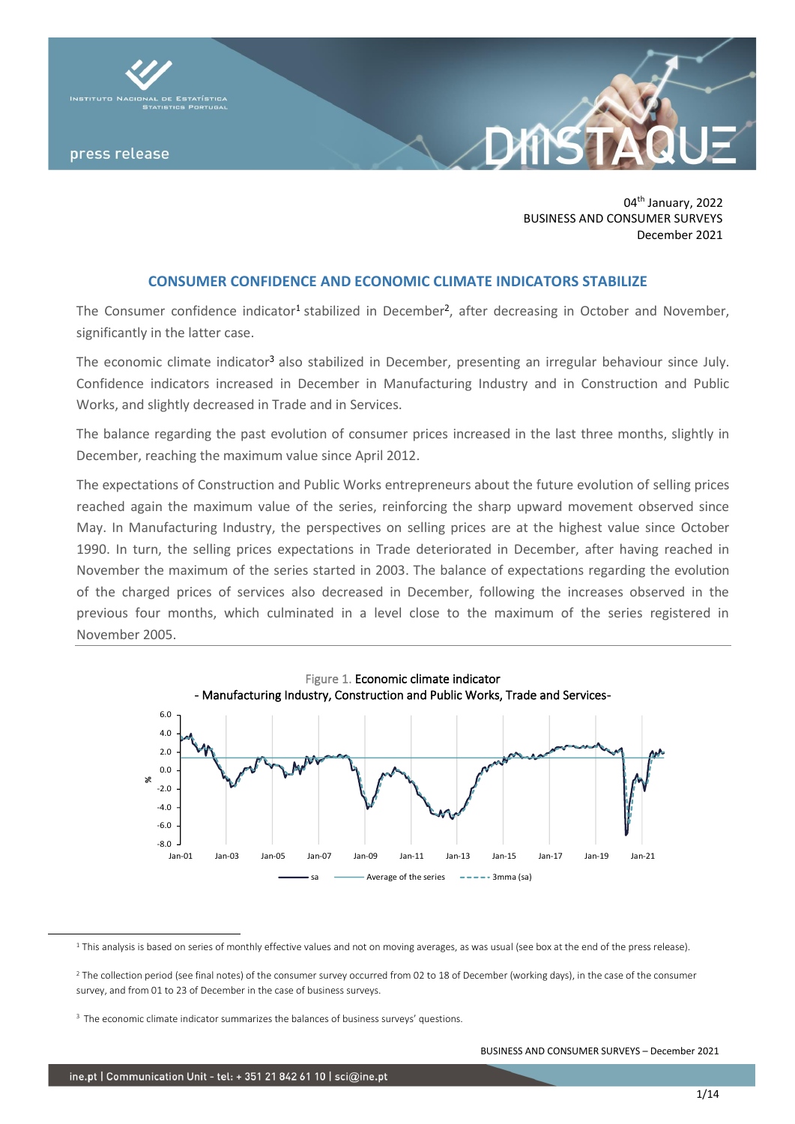

04th January, 2022 BUSINESS AND CONSUMER SURVEYS December 2021

## **CONSUMER CONFIDENCE AND ECONOMIC CLIMATE INDICATORS STABILIZE**

The Consumer confidence indicator<sup>1</sup> stabilized in December<sup>2</sup>, after decreasing in October and November, significantly in the latter case.

The economic climate indicator<sup>3</sup> also stabilized in December, presenting an irregular behaviour since July. Confidence indicators increased in December in Manufacturing Industry and in Construction and Public Works, and slightly decreased in Trade and in Services.

The balance regarding the past evolution of consumer prices increased in the last three months, slightly in December, reaching the maximum value since April 2012.

The expectations of Construction and Public Works entrepreneurs about the future evolution of selling prices reached again the maximum value of the series, reinforcing the sharp upward movement observed since May. In Manufacturing Industry, the perspectives on selling prices are at the highest value since October 1990. In turn, the selling prices expectations in Trade deteriorated in December, after having reached in November the maximum of the series started in 2003. The balance of expectations regarding the evolution of the charged prices of services also decreased in December, following the increases observed in the previous four months, which culminated in a level close to the maximum of the series registered in November 2005.



<sup>&</sup>lt;sup>1</sup> This analysis is based on series of monthly effective values and not on moving averages, as was usual (see box at the end of the press release).

<sup>&</sup>lt;sup>2</sup> The collection period (see final notes) of the consumer survey occurred from 02 to 18 of December (working days), in the case of the consumer survey, and from 01 to 23 of December in the case of business surveys.

<sup>&</sup>lt;sup>3</sup> The economic climate indicator summarizes the balances of business surveys' questions.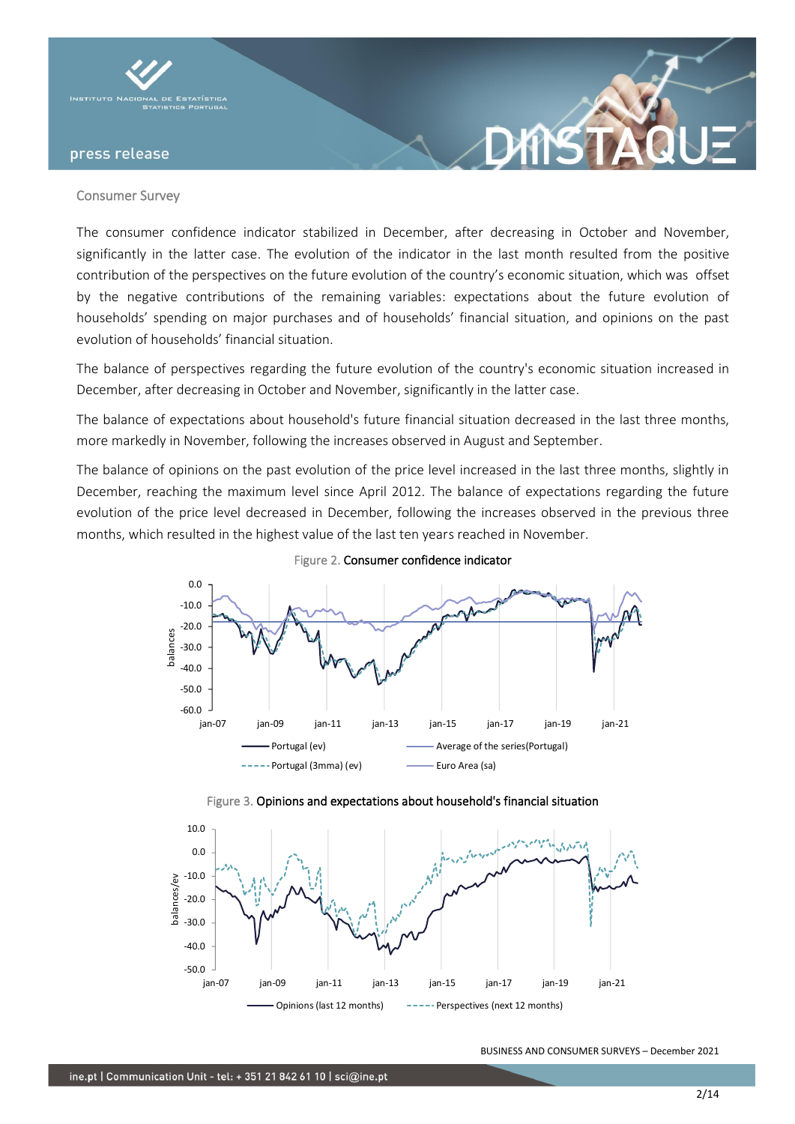

### Consumer Survey

The consumer confidence indicator stabilized in December, after decreasing in October and November, significantly in the latter case. The evolution of the indicator in the last month resulted from the positive contribution of the perspectives on the future evolution of the country's economic situation, which was offset by the negative contributions of the remaining variables: expectations about the future evolution of households' spending on major purchases and of households' financial situation, and opinions on the past evolution of households' financial situation.

**XTKS** 

The balance of perspectives regarding the future evolution of the country's economic situation increased in December, after decreasing in October and November, significantly in the latter case.

The balance of expectations about household's future financial situation decreased in the last three months, more markedly in November, following the increases observed in August and September.

The balance of opinions on the past evolution of the price level increased in the last three months, slightly in December, reaching the maximum level since April 2012. The balance of expectations regarding the future evolution of the price level decreased in December, following the increases observed in the previous three months, which resulted in the highest value of the last ten years reached in November.



Figure 2. Consumer confidence indicator



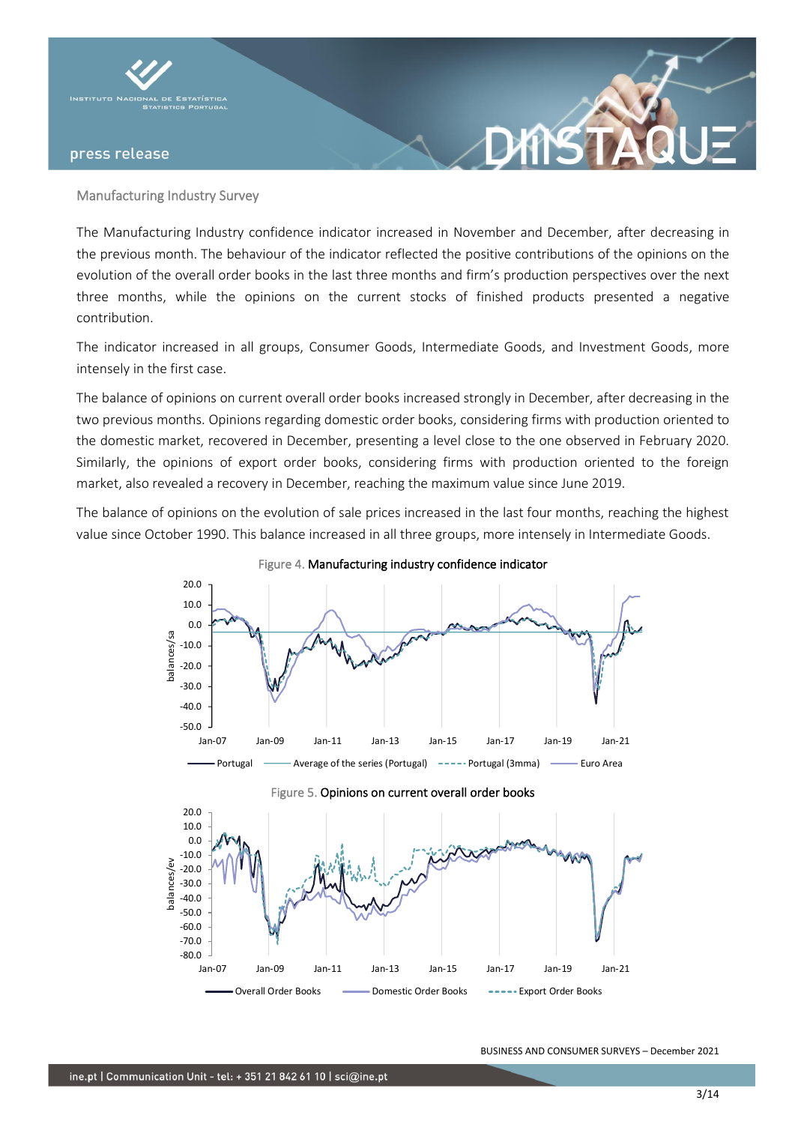

## Manufacturing Industry Survey

The Manufacturing Industry confidence indicator increased in November and December, after decreasing in the previous month. The behaviour of the indicator reflected the positive contributions of the opinions on the evolution of the overall order books in the last three months and firm's production perspectives over the next three months, while the opinions on the current stocks of finished products presented a negative contribution.

The indicator increased in all groups, Consumer Goods, Intermediate Goods, and Investment Goods, more intensely in the first case.

The balance of opinions on current overall order books increased strongly in December, after decreasing in the two previous months. Opinions regarding domestic order books, considering firms with production oriented to the domestic market, recovered in December, presenting a level close to the one observed in February 2020. Similarly, the opinions of export order books, considering firms with production oriented to the foreign market, also revealed a recovery in December, reaching the maximum value since June 2019.

The balance of opinions on the evolution of sale prices increased in the last four months, reaching the highest value since October 1990. This balance increased in all three groups, more intensely in Intermediate Goods.





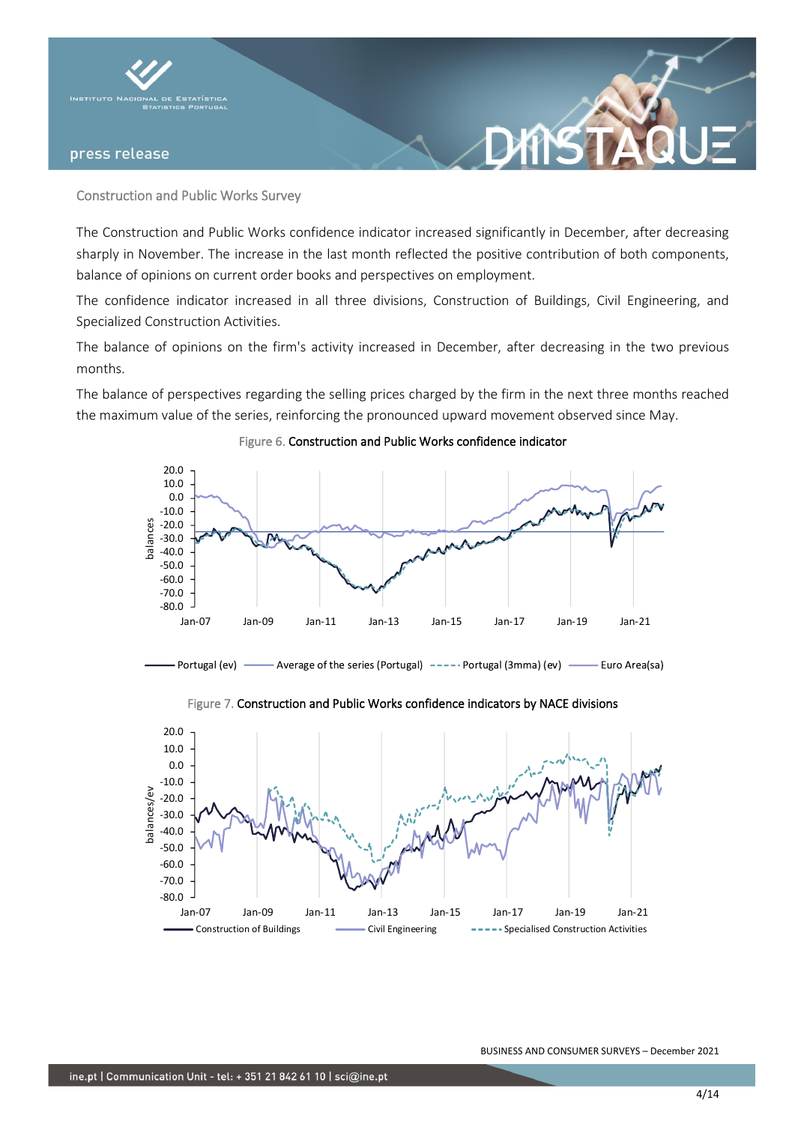

Construction and Public Works Survey

The Construction and Public Works confidence indicator increased significantly in December, after decreasing sharply in November. The increase in the last month reflected the positive contribution of both components, balance of opinions on current order books and perspectives on employment.

The confidence indicator increased in all three divisions, Construction of Buildings, Civil Engineering, and Specialized Construction Activities.

The balance of opinions on the firm's activity increased in December, after decreasing in the two previous months.

The balance of perspectives regarding the selling prices charged by the firm in the next three months reached the maximum value of the series, reinforcing the pronounced upward movement observed since May.



Figure 6. Construction and Public Works confidence indicator





Figure 7. Construction and Public Works confidence indicators by NACE divisions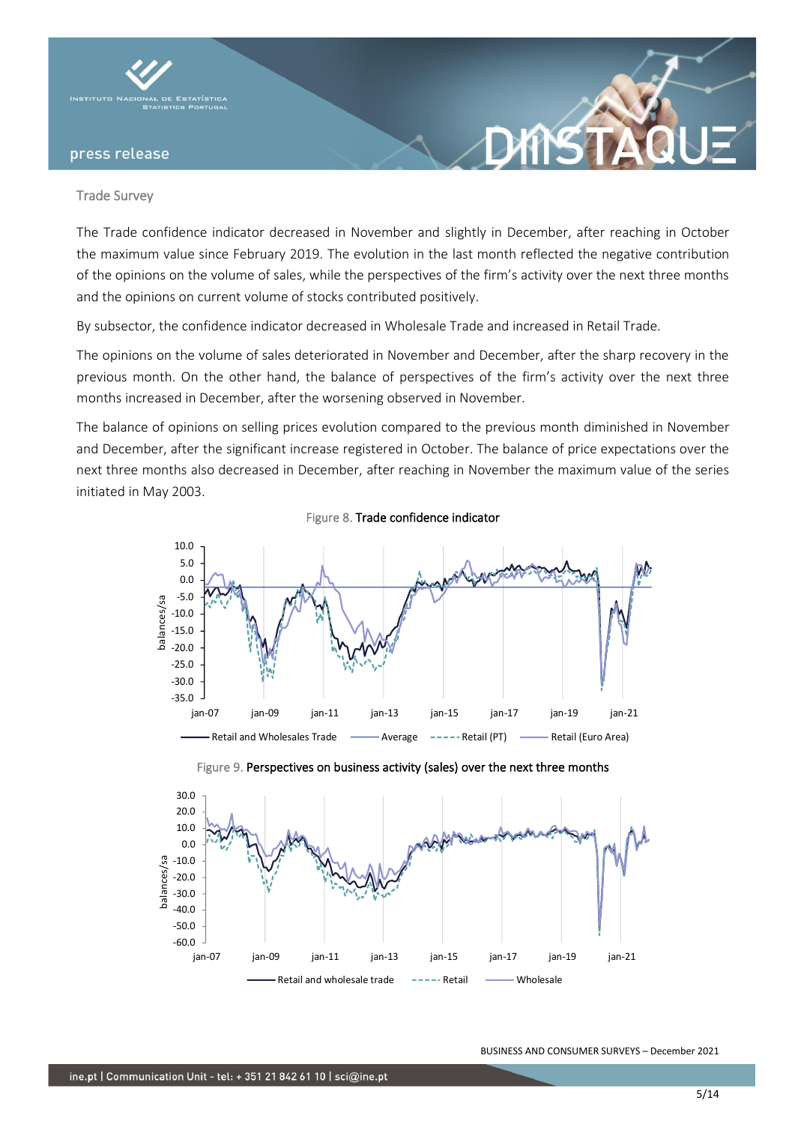

### Trade Survey

The Trade confidence indicator decreased in November and slightly in December, after reaching in October the maximum value since February 2019. The evolution in the last month reflected the negative contribution of the opinions on the volume of sales, while the perspectives of the firm's activity over the next three months and the opinions on current volume of stocks contributed positively.

**XNS** 

By subsector, the confidence indicator decreased in Wholesale Trade and increased in Retail Trade.

The opinions on the volume of sales deteriorated in November and December, after the sharp recovery in the previous month. On the other hand, the balance of perspectives of the firm's activity over the next three months increased in December, after the worsening observed in November.

The balance of opinions on selling prices evolution compared to the previous month diminished in November and December, after the significant increase registered in October. The balance of price expectations over the next three months also decreased in December, after reaching in November the maximum value of the series initiated in May 2003.

Figure 8. Trade confidence indicator







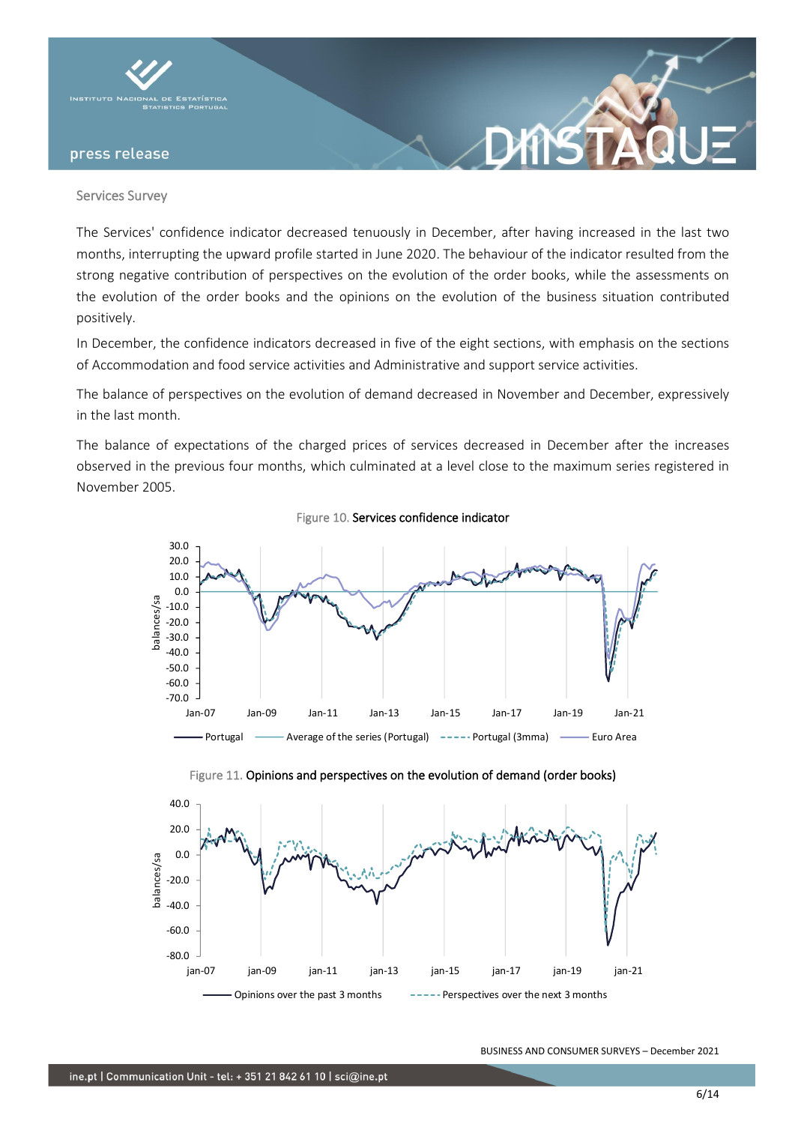

### Services Survey

The Services' confidence indicator decreased tenuously in December, after having increased in the last two months, interrupting the upward profile started in June 2020. The behaviour of the indicator resulted from the strong negative contribution of perspectives on the evolution of the order books, while the assessments on the evolution of the order books and the opinions on the evolution of the business situation contributed positively.

In December, the confidence indicators decreased in five of the eight sections, with emphasis on the sections of Accommodation and food service activities and Administrative and support service activities.

The balance of perspectives on the evolution of demand decreased in November and December, expressively in the last month.

The balance of expectations of the charged prices of services decreased in December after the increases observed in the previous four months, which culminated at a level close to the maximum series registered in November 2005.

Figure 10. Services confidence indicator







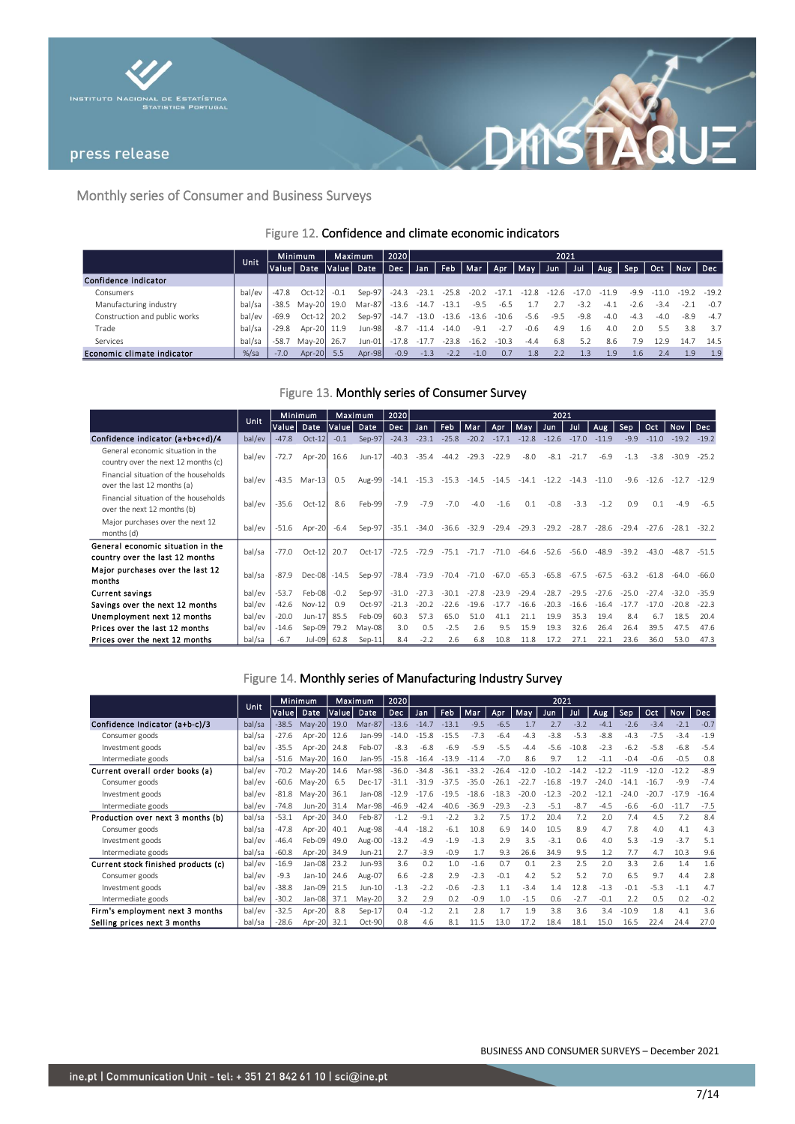



# Monthly series of Consumer and Business Surveys

# Figure 12. Confidence and climate economic indicators

|                               |         | <b>Minimum</b><br>Unit |             | Maximum |          | 2020       | 2021    |         |                 |         |                  |         |         |         |        |         |         |         |
|-------------------------------|---------|------------------------|-------------|---------|----------|------------|---------|---------|-----------------|---------|------------------|---------|---------|---------|--------|---------|---------|---------|
|                               |         | Value                  | Date        | Value   | Date     | <b>Dec</b> | Jan     |         | Feb   Mar   Apr |         | May              | Jun     | Jul     | Aug,    | Sep    | Oct     | Nov     | Dec     |
| Confidence indicator          |         |                        |             |         |          |            |         |         |                 |         |                  |         |         |         |        |         |         |         |
| Consumers                     | bal/ev  | $-47.8$                | $Oct-12$    | $-0.1$  | $Sen-97$ | $-24.3$    | $-23.1$ | $-25.8$ | $-20.2$         | $-17.1$ | $-12.8$          | $-12.6$ | $-17.0$ | $-11.9$ | $-9.9$ | $-11.0$ | $-19.2$ | $-19.2$ |
| Manufacturing industry        | bal/sa  | $-38.5$                | Mav-20      | 19.0    | Mar-87   | $-13.6$    | $-14.7$ | $-13.1$ | $-9.5$          | -b.5    |                  |         | $-3.2$  | -4.     | $-7.6$ | $-3.4$  |         | $-0.7$  |
| Construction and public works | bal/ev  | -69.9                  | $Oct-12$    | 20.2    | Sep-97   | $-14.7$    | $-13.0$ | $-13.6$ | $-13.6$         | $-10.6$ | $-5.6$           | $-9.5$  | $-9.8$  | $-4.0$  | $-4.3$ | $-4.0$  | $-8.9$  | $-4.7$  |
| Trade                         | bal/sa  | $-29.8$                | Apr-20 11.9 |         | Jun-98   | $-8.7$     | $-11.4$ | $-14.0$ | $-9.1$          | $-2.7$  | $-0.6$           | 4.9     | 1.6     | 4.0     | 2.0    | 5.5     | 3.8     | 3.7     |
| Services                      | bal/sa  | $-58.7$                | $Mav-20$    | 26.7    | Jun-01   | $-17.8$    | $-17.7$ | $-23.8$ | $-16.2$         | $-10.3$ | $-4.4$           | 6.8     | 5.2     | 8.6     | '.9    | 12.9    | 14.7    | 14.5    |
| Economic climate indicator    | $%$ /sa | $-7.0$                 | $Apr-20$    | 5.5     | Apr-98   | $-0.9$     | $-1.3$  | $-2.2$  | $-1.0$          | 0.7     | 1.8 <sup>°</sup> |         | 1.3     | 1.9     | 1.6    | 2.4     | 1.9     | 1.9     |

### Figure 13. Monthly series of Consumer Survey

|                                                                          |             |         | <b>Minimum</b><br><b>Maximum</b> |         | 2020     | 2021       |         |         |         |         |         |         |         |         |         |         |         |         |
|--------------------------------------------------------------------------|-------------|---------|----------------------------------|---------|----------|------------|---------|---------|---------|---------|---------|---------|---------|---------|---------|---------|---------|---------|
|                                                                          | <b>Unit</b> | Value   | Date                             | Value   | Date     | <b>Dec</b> | Jan     | Feb.    | Mar     | Apr     | May     | Jun     | Jul     | Aug.    | Sep     | Oct.    | Nov     | Dec     |
| Confidence indicator (a+b+c+d)/4                                         | bal/ev      | $-47.8$ | $Oct-12$                         | $-0.1$  | Sep-97   | $-24.3$    | $-23.1$ | $-25.8$ | $-20.2$ | $-17.1$ | $-12.8$ | $-12.6$ | $-17.0$ | $-11.9$ | $-9.9$  | $-11.0$ | $-19.2$ | $-19.2$ |
| General economic situation in the<br>country over the next 12 months (c) | bal/ev      | $-72.7$ | Apr-20                           | 16.6    | Jun-17   | $-40.3$    | $-35.4$ | $-44.2$ | $-29.3$ | $-22.9$ | $-8.0$  | $-8.1$  | $-21.7$ | $-6.9$  | $-1.3$  | $-3.8$  | $-30.9$ | $-25.2$ |
| Financial situation of the households<br>over the last 12 months (a)     | bal/ev      | $-43.5$ | $Mar-13$                         | 0.5     | Aug-99   | $-14.1$    | $-15.3$ | $-15.3$ | $-14.5$ | $-14.5$ | $-14.1$ | $-12.2$ | $-14.3$ | $-11.0$ | $-9.6$  | $-12.6$ | $-12.7$ | $-12.9$ |
| Financial situation of the households<br>over the next 12 months (b)     | bal/ev      | $-35.6$ | $Oct-12$                         | 8.6     | Feb-99   | $-7.9$     | $-7.9$  | $-7.0$  | $-4.0$  | $-1.6$  | 0.1     | $-0.8$  | $-3.3$  | $-1.2$  | 0.9     | 0.1     | $-4.9$  | $-6.5$  |
| Major purchases over the next 12<br>months (d)                           | bal/ev      | $-51.6$ | Apr-20                           | $-6.4$  | Sep-97   | $-35.1$    | -34.0   | -36.6   | $-32.9$ | $-29.4$ | $-29.3$ | $-29.2$ | $-28.7$ | $-28.6$ | $-29.4$ | $-27.6$ | $-28.1$ | $-32.2$ |
| General economic situation in the<br>country over the last 12 months     | bal/sa      | $-77.0$ | $Oct-12$                         | 20.7    | $Oct-17$ | $-72.5$    | $-72.9$ | $-75.1$ | $-717$  | $-71.0$ | $-64.6$ | $-52.6$ | $-56.0$ | $-48.9$ | $-39.2$ | $-43.0$ | $-48.7$ | $-51.5$ |
| Major purchases over the last 12<br>months                               | bal/sa      | $-87.9$ | $Dec-08$                         | $-14.5$ | Sep-97   | $-78.4$    | $-73.9$ | $-70.4$ | $-71.0$ | $-67.0$ | $-65.3$ | $-65.8$ | $-67.5$ | $-67.5$ | $-63.2$ | $-61.8$ | $-64.0$ | -66.0   |
| <b>Current savings</b>                                                   | bal/ev      | $-53.7$ | Feb-08                           | $-0.2$  | Sep-97   | $-31.0$    | $-27.3$ | $-30.1$ | $-27.8$ | $-23.9$ | $-29.4$ | $-28.7$ | $-29.5$ | $-27.6$ | $-25.0$ | $-27.4$ | $-32.0$ | $-35.9$ |
| Savings over the next 12 months                                          | bal/ev      | $-42.6$ | $Nov-12$                         | 0.9     | Oct-97   | $-21.3$    | $-20.2$ | $-226$  | $-196$  |         | $-16.6$ | $-203$  | $-16.6$ | $-164$  |         | -17 0   | $-20.8$ | $-22.3$ |
| Unemployment next 12 months                                              | bal/ev      | $-20.0$ | $Jun-17$                         | 85.5    | $Feh-09$ | 60.3       | 57.3    | 65 O    | 51 O    |         | 21.7    | 19.9    | 35.3    | 19.4    | 8.4     | 6.7     | 18.5    | 20.4    |
| Prices over the last 12 months                                           | bal/ev      | $-14.6$ | $Sep-09$                         | 79.2    | May-08   | 3.0        | 0.5     | $-2.5$  | 2.6     | 9.5     | 15.9    | 19.3    | 32.6    | 26.4    | 26.4    | 39.5    | 47.5    | 47.6    |
| Prices over the next 12 months                                           | bal/sa      | $-6.7$  | Jul-09                           | 62.8    | $Sep-11$ | 8.4        | $-2.2$  | 2.6     | 6.8     | 10.8    | 11.8    | 17.2    | 27.1    | 22.1    | 23.6    | 36.0    | 53.0    | 47.3    |

## Figure 14. Monthly series of Manufacturing Industry Survey

|                                     | Unit   | Minimum |          | Maximum |          | 2020    | 2021    |         |         |         |         |         |         |         |         |         |         |            |
|-------------------------------------|--------|---------|----------|---------|----------|---------|---------|---------|---------|---------|---------|---------|---------|---------|---------|---------|---------|------------|
|                                     |        | Value   | Date     | Value   | Date     | Dec     | Jan     | Feb.    | Mar     | Apr     | May     | Jun     | Jul     | Aug     | Sep     | Oct     | Nov     | <b>Dec</b> |
| Confidence Indicator (a+b-c)/3      | bal/sa | $-38.5$ | $Mav-20$ | 19.0    | Mar-87   | $-13.6$ | $-14.7$ | $-13.1$ | $-9.5$  | $-6.5$  | 1.7     | 2.7     | $-3.2$  | $-4.1$  | $-2.6$  | $-3.4$  | $-2.1$  | $-0.7$     |
| Consumer goods                      | bal/sa | $-27.6$ | Apr-20   | 12.6    | Jan-99   | $-14.0$ | $-15.8$ | $-15.5$ | $-7.3$  | $-6.4$  | $-4.3$  | $-3.8$  | $-5.3$  | $-8.8$  | $-4.3$  | $-7.5$  | $-3.4$  | $-1.9$     |
| Investment goods                    | bal/ev | $-35.5$ | Apr-20   | 24.8    | Feb-07   | $-8.3$  | $-6.8$  | $-6.9$  | $-5.9$  | $-5.5$  | $-4.4$  | $-5.6$  | $-10.8$ | $-2.3$  | $-6.2$  | $-5.8$  | $-6.8$  | $-5.4$     |
| Intermediate goods                  | bal/sa | $-51.6$ | $May-20$ | 16.0    | Jan-95   | $-15.8$ | $-16.4$ | $-13.9$ | $-11.4$ | $-7.0$  | 8.6     | 9.7     | 1.2     | $-1.1$  | $-0.4$  | $-0.6$  | $-0.5$  | 0.8        |
| Current overall order books (a)     | bal/ev | $-70.2$ | $May-20$ | 14.6    | Mar-98   | $-36.0$ | $-34.8$ | $-36.1$ | $-33.2$ | $-26.4$ | $-12.0$ | $-10.2$ | $-14.2$ | $-12.2$ | $-11.9$ | $-12.0$ | $-12.2$ | $-8.9$     |
| Consumer goods                      | bal/ev | -60.6   | $May-20$ | 6.5     | $Dec-17$ | $-31.1$ | $-31.9$ | $-37.5$ | $-35.0$ | $-26.1$ | $-22.7$ | $-16.8$ | $-19.7$ | $-24.0$ | $-14.1$ | $-16.7$ | $-9.9$  | $-7.4$     |
| Investment goods                    | bal/ev | $-81.8$ | $May-20$ | 36.1    | Jan-08   | $-12.9$ | $-17.6$ | $-19.5$ | $-18.6$ | $-18.3$ | $-20.0$ | $-12.3$ | $-20.2$ | $-12.1$ | $-24.0$ | $-20.7$ | $-17.9$ | $-16.4$    |
| Intermediate goods                  | bal/ev | $-74.8$ | Jun-20   | 31.4    | Mar-98   | $-46.9$ | $-42.4$ | $-40.6$ | $-36.9$ | $-29.3$ | $-2.3$  | $-5.1$  | $-8.7$  | $-4.5$  | $-6.6$  | $-6.0$  | $-11.7$ | $-7.5$     |
| Production over next 3 months (b)   | bal/sa | $-53.1$ | Apr-20   | 34.0    | Feb-87   | $-1.2$  | $-9.1$  | $-2.2$  | 3.2     | 7.5     | 17.2    | 20.4    | 7.2     | 2.0     | 7.4     | 4.5     | 7.2     | 8.4        |
| Consumer goods                      | bal/sa | $-47.8$ | Apr-20   | 40.1    | Aug-98   | $-4.4$  | $-18.2$ | $-6.1$  | 10.8    | 6.9     | 14.0    | 10.5    | 8.9     | 4.7     | 7.8     | 4.0     | 4.1     | 4.3        |
| Investment goods                    | bal/ev | $-46.4$ | Feb-09   | 49.0    | Aug-00   | $-13.2$ | $-4.9$  | $-1.9$  | $-1.3$  | 2.9     | 3.5     | $-3.1$  | 0.6     | 4.0     | 5.3     | $-1.9$  | $-3.7$  | 5.1        |
| Intermediate goods                  | bal/sa | $-60.8$ | Apr-20   | 34.9    | Jun-21   | 2.7     | $-3.9$  | $-0.9$  | 1.7     | 9.3     | 26.6    | 34.9    | 9.5     | 1.2     | 7.7     | 4.7     | 10.3    | 9.6        |
| Current stock finished products (c) | bal/ev | $-16.9$ | Jan-08   | 23.2    | Jun-93   | 3.6     | 0.2     | 1.0     | $-1.6$  | 0.7     | 0.1     | 2.3     | 2.5     | 2.0     | 3.3     | 2.6     | 1.4     | 1.6        |
| Consumer goods                      | bal/ev | $-9.3$  | Jan-10   | 24.6    | Aug-07   | 6.6     | $-2.8$  | 2.9     | $-2.3$  | $-0.1$  | 4.2     | 5.2     | 5.2     | 7.0     | 6.5     | 9.7     | 4.4     | 2.8        |
| Investment goods                    | bal/ev | $-38.8$ | Jan-09   | 21.5    | Jun-10   | $-1.3$  | $-2.2$  | $-0.6$  | $-2.3$  | 1.1     | $-3.4$  | 1.4     | 12.8    | $-1.3$  | $-0.1$  | $-5.3$  | $-1.1$  | 4.7        |
| Intermediate goods                  | bal/ev | $-30.2$ | Jan-08   | 37.1    | $May-20$ | 3.2     | 2.9     | 0.2     | $-0.9$  | 1.0     | $-1.5$  | 0.6     | $-2.7$  | $-0.1$  | 2.2     | 0.5     | 0.2     | $-0.2$     |
| Firm's employment next 3 months     | bal/ev | $-32.5$ | Apr-20   | 8.8     | $Sep-17$ | 0.4     | $-1.2$  | 2.1     | 2.8     | 1.7     | 1.9     | 3.8     | 3.6     | 3.4     | $-10.9$ | 1.8     | 4.1     | 3.6        |
| Selling prices next 3 months        | bal/sa | $-28.6$ | Apr-20   | 32.1    | Oct-90   | 0.8     | 4.6     | 8.1     | 11.5    | 13.0    | 17.2    | 18.4    | 18.1    | 15.0    | 16.5    | 22.4    | 24.4    | 27.0       |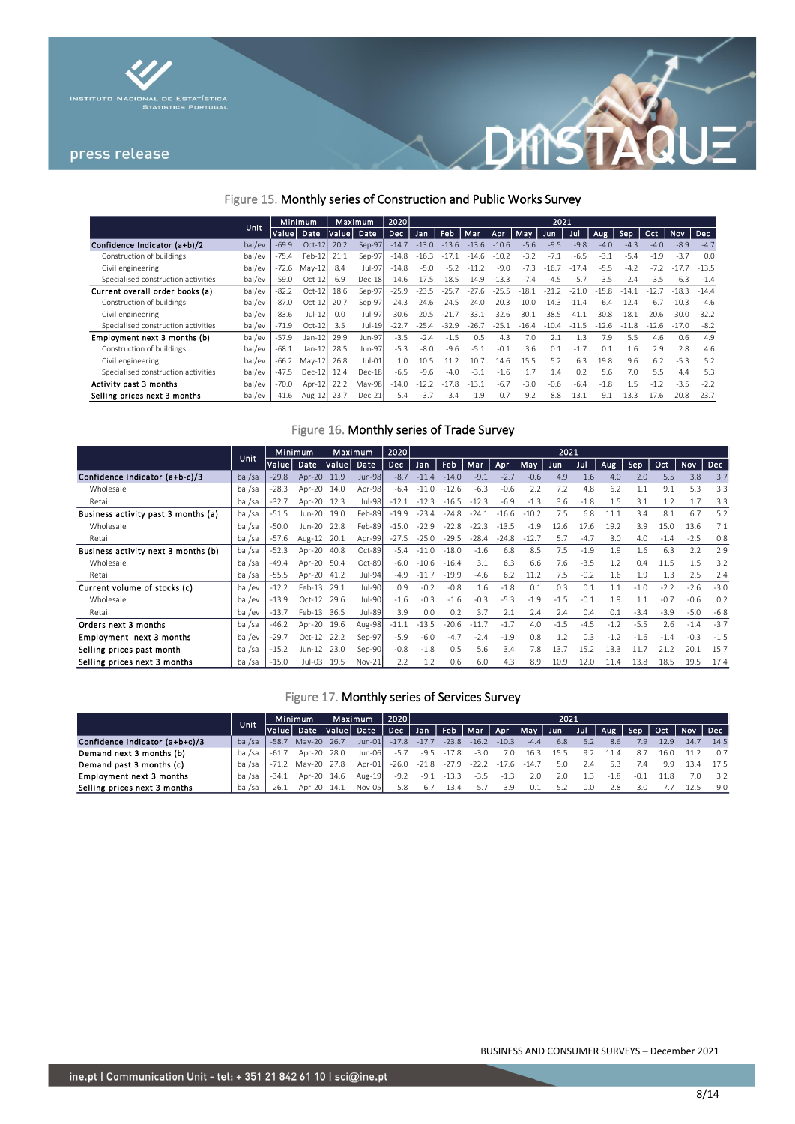



## Figure 15. Monthly series of Construction and Public Works Survey

|                                     |        | Minimum<br><b>Unit</b> |          |        | <b>Maximum</b> | 2020    | 2021    |         |         |         |         |         |         |         |         |         |            |                 |
|-------------------------------------|--------|------------------------|----------|--------|----------------|---------|---------|---------|---------|---------|---------|---------|---------|---------|---------|---------|------------|-----------------|
|                                     |        | Value                  | Date     | Valuel | Date           | Dec     | Jan     | Feb     | Mar     | Apr     | May     | Jun     | Jul     | Aug.    | Sep     | Oct     | <b>Nov</b> | <b>Dec</b>      |
| Confidence Indicator (a+b)/2        | bal/ev | $-69.9$                | $Oct-12$ | 20.2   | Sep-97         | $-14.7$ | $-13.0$ | $-13.6$ | $-13.6$ | $-10.6$ | $-5.6$  | $-9.5$  | $-9.8$  | $-4.0$  | $-4.3$  | $-4.0$  | $-8.9$     | $-4.7$          |
| Construction of buildings           | bal/ev | $-75.4$                | Feb-12   | 21.1   | Sep-97         | $-14.8$ | $-16.3$ |         | $-14.6$ | $-10.2$ | $-3.2$  | $-7$    | $-6.5$  | $-3.1$  | $-5.4$  | $-1.9$  | $-3.7$     | 0. <sub>C</sub> |
| Civil engineering                   | bal/ev | $-72.6$                | $May-12$ | 8.4    | Jul-97         | $-14.8$ | $-5.0$  | $-5.2$  | $-11.2$ | $-9.0$  | $-7.3$  | $-16.7$ | $-17.4$ | $-5.5$  |         | $-7.2$  |            | $-13.5$         |
| Specialised construction activities | bal/ev | $-59.0$                | $Oct-12$ | 6.9    | Dec-18         | $-14.6$ | $-17.5$ | $-18.5$ | $-14.9$ | $-13.3$ | $-7.4$  | $-4.5$  | $-5.7$  | $-3.5$  | $-2.4$  | $-3.5$  | $-6.3$     | $-1.4$          |
| Current overall order books (a)     | bal/ev | $-82.2$                | $Oct-12$ | 18.6   | Sep-97         | $-25.9$ | $-23.5$ | $-25.7$ | $-27.6$ | $-25.5$ | $-18.1$ | $-21.2$ | $-21.0$ | $-15.8$ | $-14.1$ |         | $-18.3$    | $-14.4$         |
| Construction of buildings           | bal/ev | $-87.0$                | $Oct-12$ | 20.7   | Sep-97         | $-24.3$ | $-24.6$ | $-24.$  | $-24.0$ | $-20.3$ | $-10.0$ | $-14.3$ | $-114$  | $-6.4$  | $-124$  | $-6.7$  | $-10.3$    | $-4.6$          |
| Civil engineering                   | bal/ev | $-83.6$                | $Jul-12$ | 0.0    | Jul-97         | $-30.6$ | $-20.5$ | $-21$   | $-331$  | $-32.6$ | $-30.1$ | $-38.5$ | $-41$   | $-30.8$ | $-181$  | $-20.6$ | $-30.0$    | $-32.2$         |
| Specialised construction activities | bal/ev | $-71.9$                | $Oct-12$ | 3.5    | Jul-19         | $-22.7$ | $-25.4$ | $-329$  | $-26.7$ | $-251$  | $-16.4$ | $-10.4$ | $-115$  | $-12.6$ | $-11R$  | $-126$  | $-17.0$    | $-8.2$          |
| Employment next 3 months (b)        | bal/ev | $-57.9$                | $Jan-12$ | 29.9   | Jun-97         | $-3.5$  | $-2.4$  | $-15$   | 0.5     | 4.3     | 7.0     | 2.1     | 3       | 7.9     | 5.5     | 4.6     | 0.6        | 4.9             |
| Construction of buildings           | bal/ev | $-68.1$                | $Jan-12$ | 28.5   | Jun-97         | $-5.3$  | $-8.0$  | $-9.6$  | $-5.1$  | $-0.1$  | 3.6     | 0.1     | $-1.7$  | 0.1     | 1.6     | 7.9     | 2.8        | 4.6             |
| Civil engineering                   | bal/ev | $-66.2$                | $Mav-12$ | 26.8   | $Jul-01$       | 1.0     | 10.5    | 11.2    | 10.7    | 14.6    | 15.5    | 5.2     | 6.3     | 19.8    | 9.6     | 6.2     | $-5.3$     | 5.2             |
| Specialised construction activities | bal/ev | $-47.5$                | $Dec-12$ | 12.4   | Dec-18         | $-6.5$  | $-9.6$  | $-4.0$  | $-3.1$  | $-1.6$  | 1.7     | 1.4     | 0.2     | 5.6     | 7.0     | 5.5     | 4.4        | 5.3             |
| Activity past 3 months              | bal/ev | $-70.0$                | Apr-12   | 22.2   | May-98         | $-14.0$ | $-12.2$ | $-17.8$ | $-13.1$ | $-6.7$  | $-3.0$  | $-0.6$  | $-6.4$  | $-1.8$  | 1.5     | $-1.2$  | $-3.5$     | $-2.2$          |
| Selling prices next 3 months        | bal/ev | $-41.6$                | Aug-12   | 23.7   | Dec-21         | $-5.4$  | $-3.7$  | $-3.4$  | $-1.9$  | $-0.7$  | 9.2     | 8.8     | 13.1    | 9.1     | 13.3    | 17.6    | 20.8       | 23.7            |

## Figure 16. Monthly series of Trade Survey

|                                     |        | Minimum<br>Unit |               |       | 2020<br>Maximum |            | 2021    |         |         |         |         |        |        |        |        |        |            |            |
|-------------------------------------|--------|-----------------|---------------|-------|-----------------|------------|---------|---------|---------|---------|---------|--------|--------|--------|--------|--------|------------|------------|
|                                     |        | Valuel          | Date,         | Value | Date            | <b>Dec</b> | Jan     | Feb     | Mar     | Apr.    | Mav     | Jun    | Ju.    | Aug    | Sep    | Oct    | <b>Nov</b> | <b>Dec</b> |
| Confidence indicator (a+b-c)/3      | bal/sa | $-29.8$         | Apr-20        | 11.9  | <b>Jun-98</b>   | $-8.7$     | $-11.4$ | $-14.0$ | $-9.1$  | $-2.7$  | $-0.6$  | 4.9    | 1.6    | 4.0    | 2.0    | 5.5    | 3.8        | 3.7        |
| Wholesale                           | bal/sa | $-28.3$         | Apr-20        | 14.0  | Apr-98          | $-6.4$     | $-11.0$ | $-12.6$ | $-6.3$  | $-0.6$  | 2.2     | 7.2    | 4.8    | 6.2    | 1.1    | 9.1    | 5.3        | 3.3        |
| Retail                              | bal/sa | $-32.7$         | Apr-20        | 12.3  | Jul-98          | $-12.1$    | $-12.3$ | $-165$  | $-12.3$ | $-6.9$  | $-1.3$  | 3.6    | $-1.8$ | 1.5    | 3.1    | 1.2    | 1.7        | 3.3        |
| Business activity past 3 months (a) | bal/sa | $-51.5$         | <b>Jun-20</b> | 19.0  | Feb-89          | $-19.9$    | $-23.4$ | $-24.8$ | $-24.1$ | $-166$  | $-10.2$ | 7.5    | 6.8    | 11.1   | 3.4    | 8.1    | 6.7        | 5.2        |
| Wholesale                           | bal/sa | $-50.0$         | Jun-20        | 22.8  | Feb-89          | $-15.0$    | $-22.9$ | $-22.8$ | $-22.3$ | 3.5     | $-1.9$  | 12.6   | 17.6   | 19.2   | 3.9    | 15.0   | 13.6       | 7.1        |
| Retail                              | bal/sa | $-57.6$         | Aug-12        | 20.1  | Apr-99          | $-27.5$    | $-25.0$ | $-29.5$ | $-28.4$ | $-24.8$ | $-12.7$ | 5.7    | $-4.7$ | 3.0    | 4.0    | $-1.4$ | $-2.5$     | 0.8        |
| Business activity next 3 months (b) | bal/sa | $-52.3$         | Apr-20        | 40.8  | Oct-89          | $-5.4$     | $-11.0$ | $-18.0$ | $-1.6$  | 6.8     | 8.5     | 7.5    | $-1.9$ | 1.9    | 1.6    | 6.3    | 7.7        | 2.9        |
| Wholesale                           | bal/sa | $-49.4$         | Apr-20        | 50.4  | Oct-89          | $-6.0$     | $-10.6$ | $-16.4$ | 3.1     | 6.3     | 6.6     | 7.6    | $-3.5$ | 1.2    | 0.4    |        | 1.5        | 3.2        |
| Retail                              | bal/sa | $-55.5$         | Apr-20        | 41.2  | Jul-94          | $-4.9$     | $-11.7$ | $-19.9$ | $-4.6$  | 6.2     | 11.2    | 7.5    | $-0.2$ | 1.6    | 1.9    | 1.3    | 2.5        | 2.4        |
| Current volume of stocks (c)        | bal/ev | $-12.2$         | Feb-13        | 29.1  | Jul-90          | 0.9        | $-0.2$  | $-0.8$  | 1.6     | $-1.8$  | 0.1     | 0.3    | 0.1    | 1.1    | $-1.0$ | $-2.2$ | $-2.6$     | $-3.0$     |
| Wholesale                           | bal/ev | $-13.9$         | $Oct-12$      | 29.6  | Jul-90          | $-1.6$     | $-0.3$  | $-1.6$  | $-0.3$  | $-5.3$  | $-1.9$  | $-1.5$ | $-0.1$ | 1.9    | 1.1    | $-0.7$ | $-0.6$     | 0.2        |
| Retail                              | bal/ev | $-13.7$         | $Feb-13$      | 36.5  | Jul-89          | 3.9        | 0.0     | 0.2     | 3.7     | 2.1     | 2.4     | 2.4    | 0.4    | 0.1    | $-3.4$ | $-3.9$ | $-5.0$     | $-6.8$     |
| Orders next 3 months                | bal/sa | $-46.2$         | Apr-20        | 19.6  | Aug-98          | $-11.1$    | $-13.5$ | $-20.6$ | $-11.7$ | $-1.7$  | 4.0     | $-1.5$ | $-4.5$ | $-1.2$ | $-5.5$ | 7.6    | $-1.4$     | $-3.7$     |
| Employment next 3 months            | bal/ev | $-29.7$         | $Oct-12$      | 22.2  | Sep-97          | $-5.9$     | $-6.0$  | $-4.7$  | $-2.4$  | $-1.9$  | 0.8     | 1.2    | 0.3    | $-1.2$ | $-1.6$ | $-1.4$ | $-0.3$     | $-1.5$     |
| Selling prices past month           | bal/sa | $-15.2$         | Jun-12        | 23.0  | Sep-90          | $-0.8$     | $-1.8$  | 0.5     | 5.6     | 3.4     | 7.8     | 13.7   | 15.2   | 133    | 11.7   | 21.2   | 20.1       | 15.7       |
| Selling prices next 3 months        | bal/sa | $-15.0$         | Jul-03        | 19.5  | Nov-21          | 2.2        | 1.2     | 0.6     | 6.0     | 4.3     | 8.9     | 10.9   | 12.0   | 11.4   | 13.8   | 18.5   | 19.5       | 17.4       |

## Figure 17. Monthly series of Services Survey

|                                |        | <b>Minimum</b> |                   | Maximum |               | 2020    | 2021    |         |         |               |         |                                    |     |        |             |      |         |      |
|--------------------------------|--------|----------------|-------------------|---------|---------------|---------|---------|---------|---------|---------------|---------|------------------------------------|-----|--------|-------------|------|---------|------|
|                                | Unit.  |                | Value  Date '     |         | Valuel Date L | Dec     | Jan     |         |         |               |         | Feb   Mar   Apr   May   Jun   Jul, |     |        | Aug Sep Oct |      | Nov Dec |      |
| Confidence indicator (a+b+c)/3 | bal/sa | $-58.7$        | May-20 26.7       |         | $Jun-01$      | $-17.8$ | $-17.7$ | $-23.8$ | $-16.2$ | $-10.3$       | $-4.4$  | 6.8                                | 5.2 | 8.6    | 7.9         | 12.9 | 14.7    | 14.5 |
| Demand next 3 months (b)       | bal/sa | $-61.7$        | Apr-20 28.0       |         | Jun-06        |         | $-9.5$  | $-17.8$ | $-3.0$  | 7.0           | 16.3    | 15.5                               | 9.2 | 11.4   | 8.3         | 16.0 |         | 0.7  |
| Demand past 3 months (c)       | bal/sa |                | -71.2 May-20 27.8 |         | Apr-01        | $-26.0$ | $-21.8$ | $-27.9$ |         | $-22.2 -17.6$ | $-14.7$ | 5.0                                | 2.4 | 5.3    | 7.4         | 9.9  | 13.4    | 17.5 |
| Employment next 3 months       | bal/sa | $-34.1$        | Apr-20 14.6       |         | $Aug-19$      | $-9.2$  | $-9.1$  | $-13.3$ | $-3.5$  | $-1.3$        | 2.0     | 2.0                                |     | $-1.8$ | $-0.1$      | 11.8 | 7.0     | 3.2  |
| Selling prices next 3 months   | bal/sa | $-26.1$        | Apr-20 14.1       |         | Nov-05        | $-5.8$  | $-6.7$  | $-13.4$ | $-5.7$  | $-3.9$        | $-0.1$  | 57                                 | n n | 2.8    | 3.0         |      | 12.5    | 9.0  |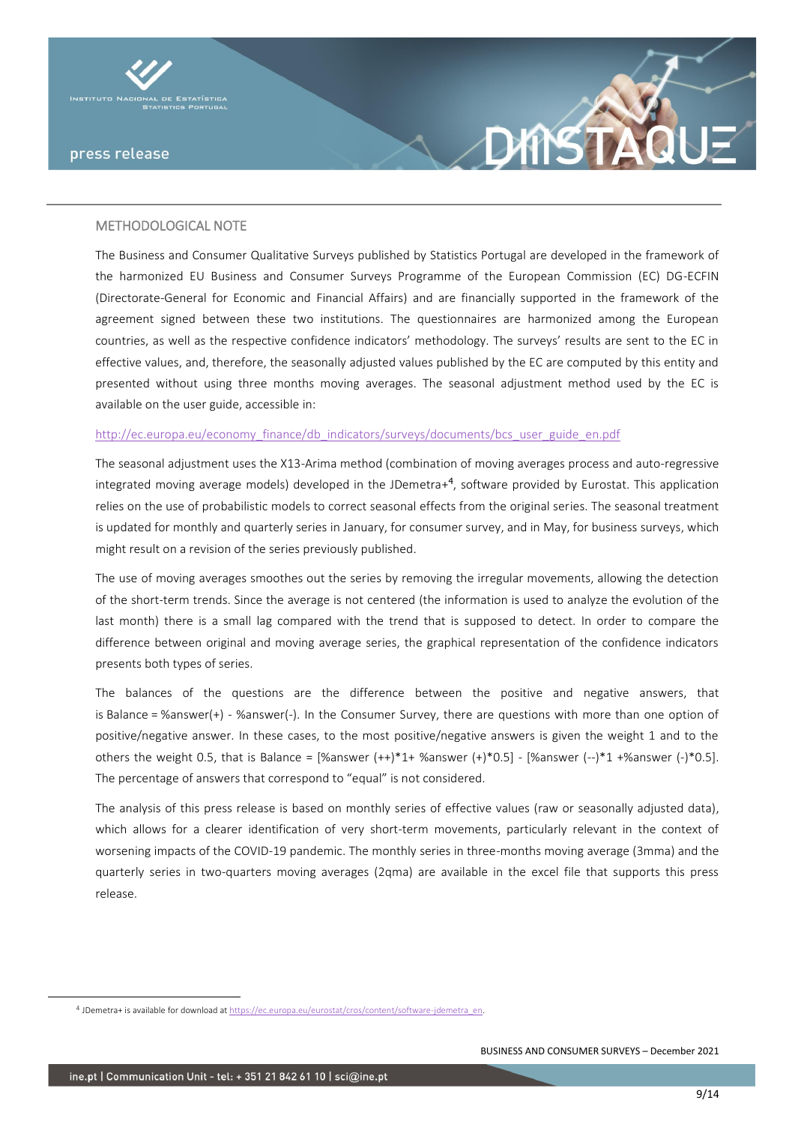



The Business and Consumer Qualitative Surveys published by Statistics Portugal are developed in the framework of the harmonized EU Business and Consumer Surveys Programme of the European Commission (EC) DG-ECFIN (Directorate-General for Economic and Financial Affairs) and are financially supported in the framework of the agreement signed between these two institutions. The questionnaires are harmonized among the European countries, as well as the respective confidence indicators' methodology. The surveys' results are sent to the EC in effective values, and, therefore, the seasonally adjusted values published by the EC are computed by this entity and presented without using three months moving averages. The seasonal adjustment method used by the EC is available on the user guide, accessible in:

#### [http://ec.europa.eu/economy\\_finance/db\\_indicators/surveys/documents/bcs\\_user\\_guide\\_en.pdf](http://ec.europa.eu/economy_finance/db_indicators/surveys/documents/bcs_user_guide_en.pdf)

The seasonal adjustment uses the X13-Arima method (combination of moving averages process and auto-regressive integrated moving average models) developed in the JDemetra+<sup>4</sup>, software provided by Eurostat. This application relies on the use of probabilistic models to correct seasonal effects from the original series. The seasonal treatment is updated for monthly and quarterly series in January, for consumer survey, and in May, for business surveys, which might result on a revision of the series previously published.

The use of moving averages smoothes out the series by removing the irregular movements, allowing the detection of the short-term trends. Since the average is not centered (the information is used to analyze the evolution of the last month) there is a small lag compared with the trend that is supposed to detect. In order to compare the difference between original and moving average series, the graphical representation of the confidence indicators presents both types of series.

The balances of the questions are the difference between the positive and negative answers, that is Balance = %answer(+) - %answer(-). In the Consumer Survey, there are questions with more than one option of positive/negative answer. In these cases, to the most positive/negative answers is given the weight 1 and to the others the weight 0.5, that is Balance =  $[%$ answer  $(+)*1+%$ answer  $(+)*0.5]$  -  $[%$ answer  $(-)*1+%$ answer  $(-)*0.5]$ . The percentage of answers that correspond to "equal" is not considered.

The analysis of this press release is based on monthly series of effective values (raw or seasonally adjusted data), which allows for a clearer identification of very short-term movements, particularly relevant in the context of worsening impacts of the COVID-19 pandemic. The monthly series in three-months moving average (3mma) and the quarterly series in two-quarters moving averages (2qma) are available in the excel file that supports this press release.

<sup>4</sup> JDemetra+ is available for download a[t https://ec.europa.eu/eurostat/cros/content/software-jdemetra\\_en.](https://ec.europa.eu/eurostat/cros/content/software-jdemetra_en)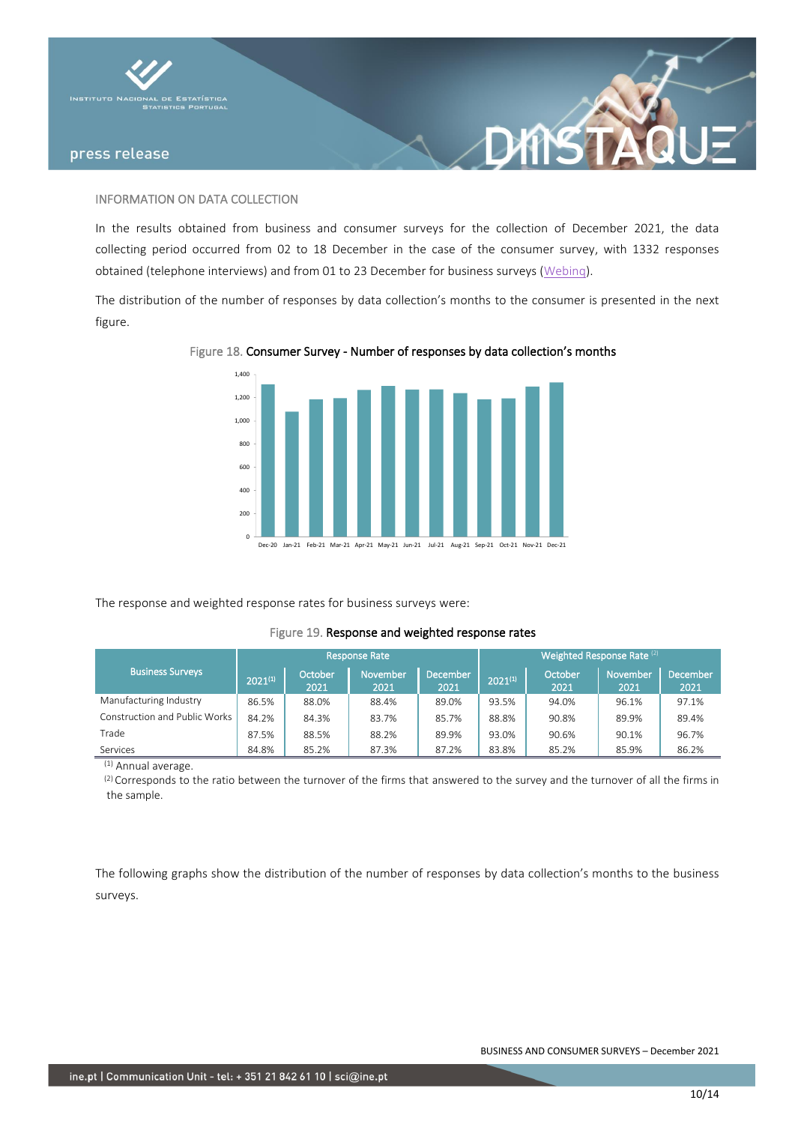

### INFORMATION ON DATA COLLECTION

In the results obtained from business and consumer surveys for the collection of December 2021, the data collecting period occurred from 02 to 18 December in the case of the consumer survey, with 1332 responses obtained (telephone interviews) and from 01 to 23 December for business surveys [\(Webinq\)](https://webinq.ine.pt/).

XINS

The distribution of the number of responses by data collection's months to the consumer is presented in the next figure.

#### Figure 18. Consumer Survey - Number of responses by data collection's months



The response and weighted response rates for business surveys were:

#### Figure 19. Response and weighted response rates

|                               |              |                        | <b>Response Rate</b>    |                         | Weighted Response Rate (2) |                 |                  |                         |  |  |  |  |
|-------------------------------|--------------|------------------------|-------------------------|-------------------------|----------------------------|-----------------|------------------|-------------------------|--|--|--|--|
| <b>Business Surveys</b>       | $2021^{(1)}$ | <b>October</b><br>2021 | <b>November</b><br>2021 | <b>December</b><br>2021 | $2021^{(1)}$               | October<br>2021 | November<br>2021 | <b>December</b><br>2021 |  |  |  |  |
| Manufacturing Industry        | 86.5%        | 88.0%                  | 88.4%                   | 89.0%                   | 93.5%                      | 94.0%           | 96.1%            | 97.1%                   |  |  |  |  |
| Construction and Public Works | 84.2%        | 84.3%                  | 83.7%                   | 85.7%                   | 88.8%                      | 90.8%           | 89.9%            | 89.4%                   |  |  |  |  |
| Trade                         | 87.5%        | 88.5%                  | 88.2%                   | 89.9%                   | 93.0%                      | 90.6%           | 90.1%            | 96.7%                   |  |  |  |  |
| Services                      | 84.8%        | 85.2%                  | 87.3%                   | 87.2%                   | 83.8%                      | 85.2%           | 85.9%            | 86.2%                   |  |  |  |  |

 $\overline{^{(1)}}$  Annual average.

(2) Corresponds to the ratio between the turnover of the firms that answered to the survey and the turnover of all the firms in the sample.

The following graphs show the distribution of the number of responses by data collection's months to the business surveys.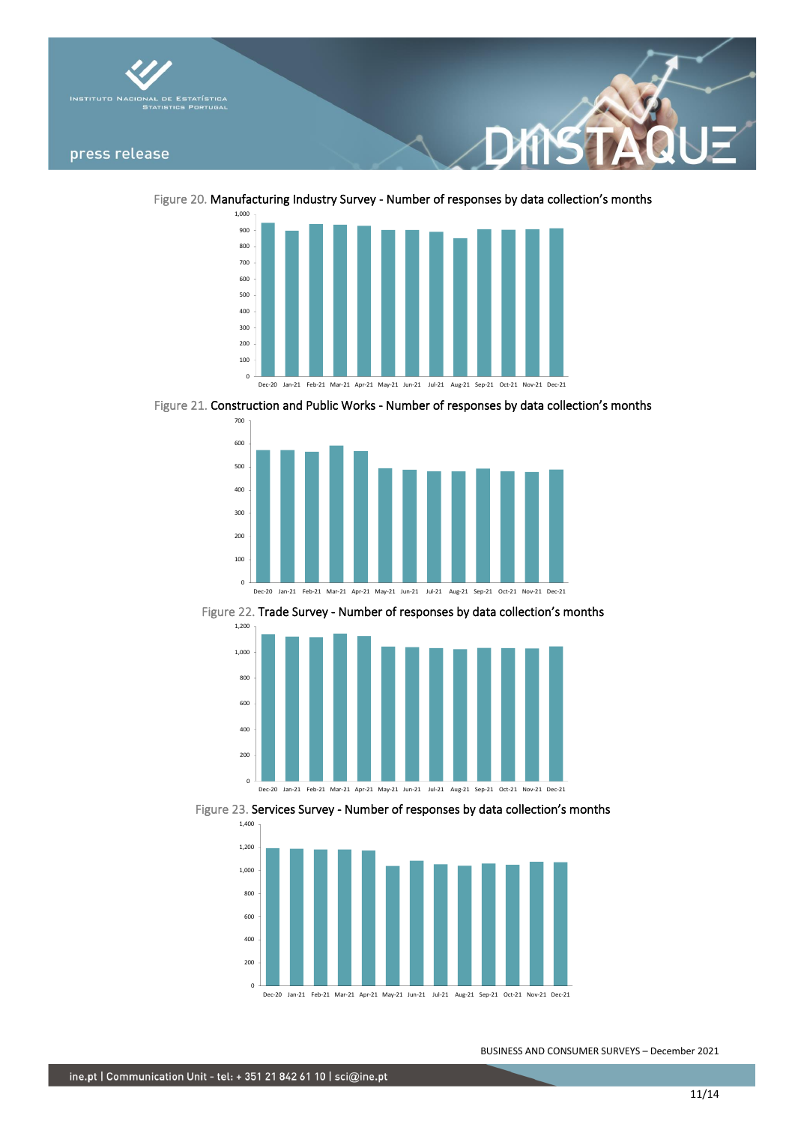

Figure 20. Manufacturing Industry Survey - Number of responses by data collection's months



Figure 21. Construction and Public Works - Number of responses by data collection's months







Figure 23. Services Survey - Number of responses by data collection's months



Dec-20 Jan-21 Feb-21 Mar-21 Apr-21 May-21 Jun-21 Jul-21 Aug-21 Sep-21 Oct-21 Nov-21 Dec-21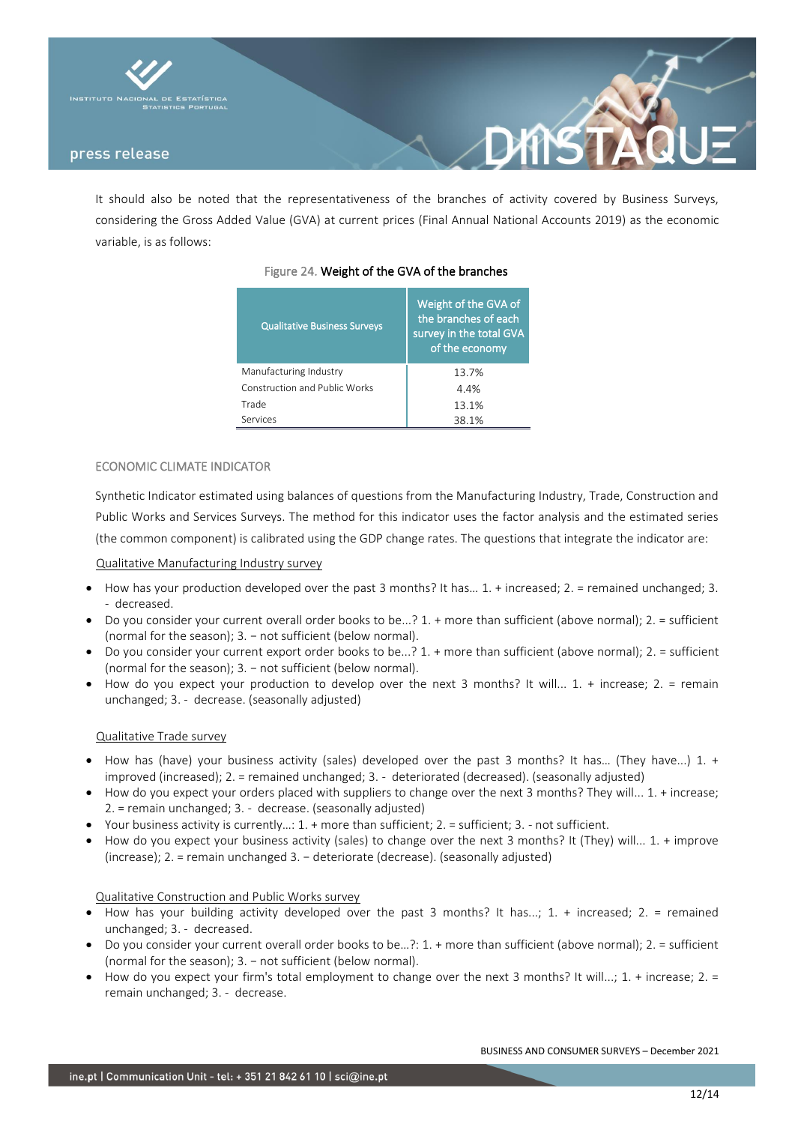

It should also be noted that the representativeness of the branches of activity covered by Business Surveys, considering the Gross Added Value (GVA) at current prices (Final Annual National Accounts 2019) as the economic variable, is as follows:

| <b>Qualitative Business Surveys</b> | Weight of the GVA of<br>the branches of each<br>survey in the total GVA<br>of the economy |
|-------------------------------------|-------------------------------------------------------------------------------------------|
| Manufacturing Industry              | 13.7%                                                                                     |
| Construction and Public Works       | 4.4%                                                                                      |
| Trade                               | 13.1%                                                                                     |
| Services                            | 38.1%                                                                                     |

## Figure 24. Weight of the GVA of the branches

## ECONOMIC CLIMATE INDICATOR

Synthetic Indicator estimated using balances of questions from the Manufacturing Industry, Trade, Construction and Public Works and Services Surveys. The method for this indicator uses the factor analysis and the estimated series (the common component) is calibrated using the GDP change rates. The questions that integrate the indicator are:

#### Qualitative Manufacturing Industry survey

- How has your production developed over the past 3 months? It has… 1. + increased; 2. = remained unchanged; 3. - decreased.
- Do you consider your current overall order books to be...? 1. + more than sufficient (above normal); 2. = sufficient (normal for the season); 3. − not sufficient (below normal).
- Do you consider your current export order books to be...? 1. + more than sufficient (above normal); 2. = sufficient (normal for the season); 3. − not sufficient (below normal).
- How do you expect your production to develop over the next 3 months? It will... 1. + increase; 2. = remain unchanged; 3. - decrease. (seasonally adjusted)

## Qualitative Trade survey

- How has (have) your business activity (sales) developed over the past 3 months? It has… (They have...) 1. + improved (increased); 2. = remained unchanged; 3. - deteriorated (decreased). (seasonally adjusted)
- How do you expect your orders placed with suppliers to change over the next 3 months? They will... 1. + increase; 2. = remain unchanged; 3. - decrease. (seasonally adjusted)
- Your business activity is currently…: 1. + more than sufficient; 2. = sufficient; 3. not sufficient.
- How do you expect your business activity (sales) to change over the next 3 months? It (They) will... 1. + improve (increase); 2. = remain unchanged 3. − deteriorate (decrease). (seasonally adjusted)

#### Qualitative Construction and Public Works survey

- How has your building activity developed over the past 3 months? It has...; 1. + increased; 2. = remained unchanged; 3. - decreased.
- Do you consider your current overall order books to be…?: 1. + more than sufficient (above normal); 2. = sufficient (normal for the season); 3. – not sufficient (below normal).
- How do you expect your firm's total employment to change over the next 3 months? It will...; 1. + increase; 2. = remain unchanged; 3. - decrease.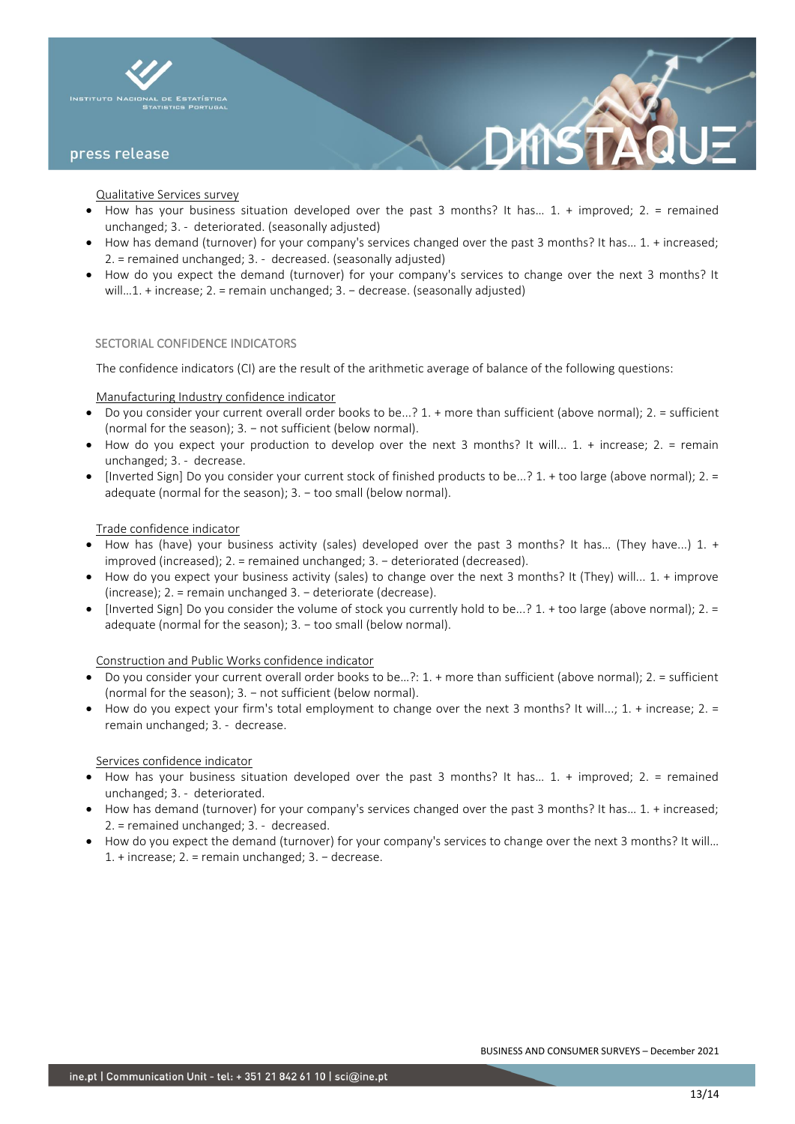

Qualitative Services survey

- How has your business situation developed over the past 3 months? It has… 1. + improved; 2. = remained unchanged; 3. - deteriorated. (seasonally adjusted)
- How has demand (turnover) for your company's services changed over the past 3 months? It has… 1. + increased; 2. = remained unchanged; 3. - decreased. (seasonally adjusted)
- How do you expect the demand (turnover) for your company's services to change over the next 3 months? It will...1. + increase; 2. = remain unchanged; 3. - decrease. (seasonally adjusted)

### SECTORIAL CONFIDENCE INDICATORS

The confidence indicators (CI) are the result of the arithmetic average of balance of the following questions:

Manufacturing Industry confidence indicator

- Do you consider your current overall order books to be...? 1. + more than sufficient (above normal); 2. = sufficient (normal for the season); 3. − not sufficient (below normal).
- How do you expect your production to develop over the next 3 months? It will... 1. + increase; 2. = remain unchanged; 3. - decrease.
- [Inverted Sign] Do you consider your current stock of finished products to be...? 1. + too large (above normal); 2. = adequate (normal for the season); 3. – too small (below normal).

#### Trade confidence indicator

- How has (have) your business activity (sales) developed over the past 3 months? It has… (They have...) 1. + improved (increased); 2. = remained unchanged; 3. − deteriorated (decreased).
- How do you expect your business activity (sales) to change over the next 3 months? It (They) will... 1. + improve (increase); 2. = remain unchanged 3. − deteriorate (decrease).
- [Inverted Sign] Do you consider the volume of stock you currently hold to be...? 1. + too large (above normal); 2. = adequate (normal for the season); 3. − too small (below normal).

Construction and Public Works confidence indicator

- Do you consider your current overall order books to be…?: 1. + more than sufficient (above normal); 2. = sufficient (normal for the season); 3. − not sufficient (below normal).
- How do you expect your firm's total employment to change over the next 3 months? It will...; 1. + increase; 2. = remain unchanged; 3. - decrease.

### Services confidence indicator

- How has your business situation developed over the past 3 months? It has… 1. + improved; 2. = remained unchanged; 3. - deteriorated.
- How has demand (turnover) for your company's services changed over the past 3 months? It has… 1. + increased; 2. = remained unchanged; 3. - decreased.
- How do you expect the demand (turnover) for your company's services to change over the next 3 months? It will… 1. + increase; 2. = remain unchanged; 3. − decrease.